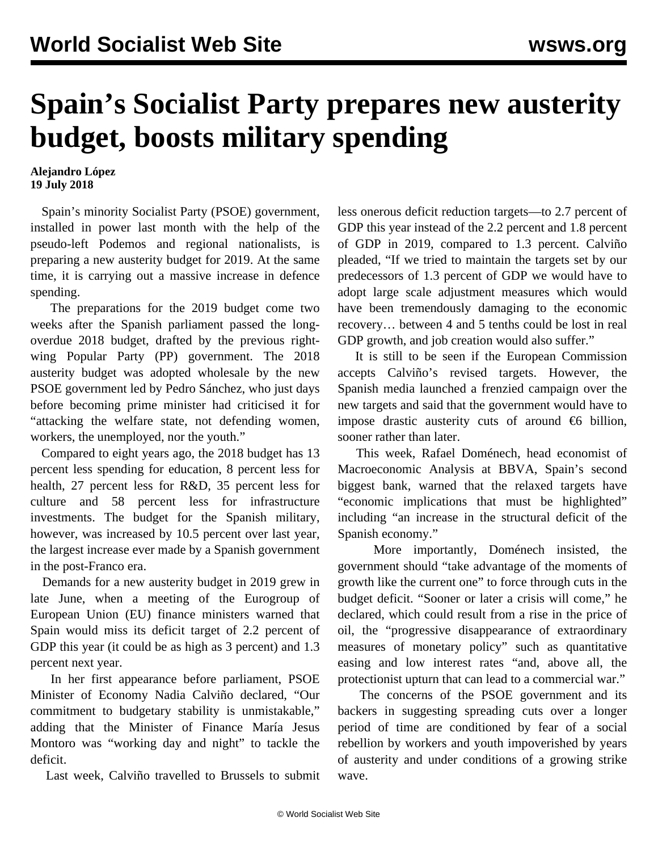## **Spain's Socialist Party prepares new austerity budget, boosts military spending**

**Alejandro López 19 July 2018**

 Spain's minority Socialist Party (PSOE) government, installed in power last month with the help of the pseudo-left Podemos and regional nationalists, is preparing a new austerity budget for 2019. At the same time, it is carrying out a massive increase in defence spending.

 The preparations for the 2019 budget come two weeks after the Spanish parliament passed the longoverdue 2018 budget, drafted by the previous rightwing Popular Party (PP) government. The 2018 austerity budget was adopted wholesale by the new PSOE government led by Pedro Sánchez, who just days before becoming prime minister had criticised it for "attacking the welfare state, not defending women, workers, the unemployed, nor the youth."

 Compared to eight years ago, the 2018 budget has 13 percent less spending for education, 8 percent less for health, 27 percent less for R&D, 35 percent less for culture and 58 percent less for infrastructure investments. The budget for the Spanish military, however, was increased by 10.5 percent over last year, the largest increase ever made by a Spanish government in the post-Franco era.

 Demands for a new austerity budget in 2019 grew in late June, when a meeting of the Eurogroup of European Union (EU) finance ministers warned that Spain would miss its deficit target of 2.2 percent of GDP this year (it could be as high as 3 percent) and 1.3 percent next year.

 In her first appearance before parliament, PSOE Minister of Economy Nadia Calviño declared, "Our commitment to budgetary stability is unmistakable," adding that the Minister of Finance María Jesus Montoro was "working day and night" to tackle the deficit.

Last week, Calviño travelled to Brussels to submit

less onerous deficit reduction targets—to 2.7 percent of GDP this year instead of the 2.2 percent and 1.8 percent of GDP in 2019, compared to 1.3 percent. Calviño pleaded, "If we tried to maintain the targets set by our predecessors of 1.3 percent of GDP we would have to adopt large scale adjustment measures which would have been tremendously damaging to the economic recovery… between 4 and 5 tenths could be lost in real GDP growth, and job creation would also suffer."

 It is still to be seen if the European Commission accepts Calviño's revised targets. However, the Spanish media launched a frenzied campaign over the new targets and said that the government would have to impose drastic austerity cuts of around  $\epsilon$ 6 billion, sooner rather than later.

 This week, Rafael Doménech, head economist of Macroeconomic Analysis at BBVA, Spain's second biggest bank, warned that the relaxed targets have "economic implications that must be highlighted" including "an increase in the structural deficit of the Spanish economy."

 More importantly, Doménech insisted, the government should "take advantage of the moments of growth like the current one" to force through cuts in the budget deficit. "Sooner or later a crisis will come," he declared, which could result from a rise in the price of oil, the "progressive disappearance of extraordinary measures of monetary policy" such as quantitative easing and low interest rates "and, above all, the protectionist upturn that can lead to a commercial war."

 The concerns of the PSOE government and its backers in suggesting spreading cuts over a longer period of time are conditioned by fear of a social rebellion by workers and youth impoverished by years of austerity and under conditions of a growing strike wave.